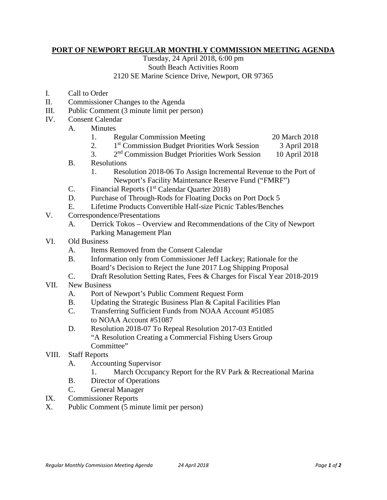## **PORT OF NEWPORT REGULAR MONTHLY COMMISSION MEETING AGENDA**

Tuesday, 24 April 2018, 6:00 pm South Beach Activities Room 2120 SE Marine Science Drive, Newport, OR 97365

- I. Call to Order
- II. Commissioner Changes to the Agenda
- III. Public Comment (3 minute limit per person)
- IV. Consent Calendar
	- A. Minutes
		- 1. Regular Commission Meeting 20 March 2018

- 2. 1<sup>st</sup> Commission Budget Priorities Work Session 3 April 2018
- 3. 2nd Commission Budget Priorities Work Session 10 April 2018
- B. Resolutions
	- 1. Resolution 2018-06 To Assign Incremental Revenue to the Port of Newport's Facility Maintenance Reserve Fund ("FMRF")
- C. Financial Reports  $(1<sup>st</sup> Calendar Quarter 2018)$
- D. Purchase of Through-Rods for Floating Docks on Port Dock 5
- E. Lifetime Products Convertible Half-size Picnic Tables/Benches
- V. Correspondence/Presentations
	- A. Derrick Tokos Overview and Recommendations of the City of Newport Parking Management Plan
- VI. Old Business
	- A. Items Removed from the Consent Calendar
	- B. Information only from Commissioner Jeff Lackey; Rationale for the Board's Decision to Reject the June 2017 Log Shipping Proposal
	- C. Draft Resolution Setting Rates, Fees & Charges for Fiscal Year 2018-2019
- VII. New Business
	- A. Port of Newport's Public Comment Request Form
	- B. Updating the Strategic Business Plan & Capital Facilities Plan
	- C. Transferring Sufficient Funds from NOAA Account #51085 to NOAA Account #51087
	- D. Resolution 2018-07 To Repeal Resolution 2017-03 Entitled "A Resolution Creating a Commercial Fishing Users Group Committee"
- VIII. Staff Reports
	- A. Accounting Supervisor
		- 1. March Occupancy Report for the RV Park & Recreational Marina
	- B. Director of Operations
	- C. General Manager
- IX. Commissioner Reports
- X. Public Comment (5 minute limit per person)